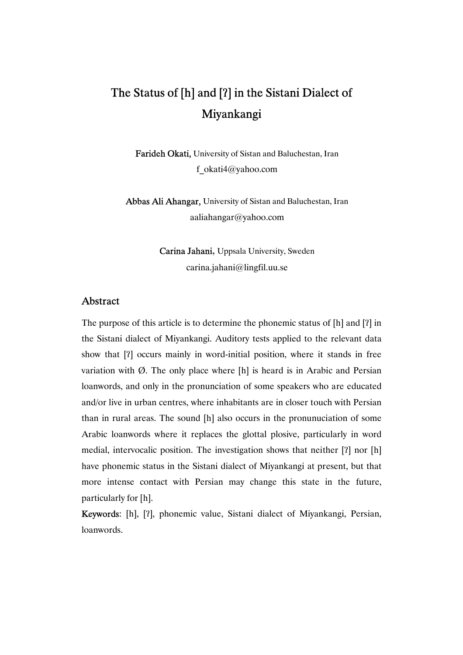Farideh Okati, University of Sistan and Baluchestan, Iran f\_okati4@yahoo.com

Abbas Ali Ahangar, University of Sistan and Baluchestan, Iran aaliahangar@yahoo.com

> Carina Jahani, Uppsala University, Sweden carina.jahani@lingfil.uu.se

### Abstract

The purpose of this article is to determine the phonemic status of [h] and [ʔ] in the Sistani dialect of Miyankangi. Auditory tests applied to the relevant data show that [ʔ] occurs mainly in word-initial position, where it stands in free variation with  $\emptyset$ . The only place where [h] is heard is in Arabic and Persian loanwords, and only in the pronunciation of some speakers who are educated and/or live in urban centres, where inhabitants are in closer touch with Persian than in rural areas. The sound [h] also occurs in the pronunuciation of some Arabic loanwords where it replaces the glottal plosive, particularly in word medial, intervocalic position. The investigation shows that neither [ʔ] nor [h] have phonemic status in the Sistani dialect of Miyankangi at present, but that more intense contact with Persian may change this state in the future, particularly for [h].

Keywords: [h], [ʔ], phonemic value, Sistani dialect of Miyankangi, Persian, loanwords.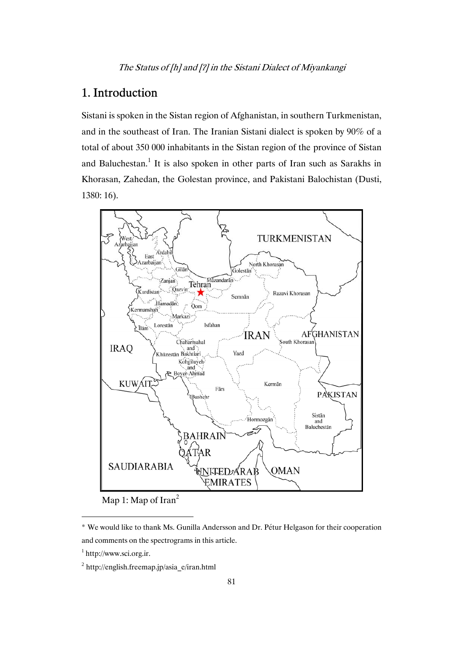## 1. Introduction

Sistani is spoken in the Sistan region of Afghanistan, in southern Turkmenistan, and in the southeast of Iran. The Iranian Sistani dialect is spoken by 90% of a total of about 350 000 inhabitants in the Sistan region of the province of Sistan and Baluchestan.<sup>1</sup> It is also spoken in other parts of Iran such as Sarakhs in Khorasan, Zahedan, the Golestan province, and Pakistani Balochistan (Dusti, 1380: 16).



Map 1: Map of Iran<sup>2</sup>

l

<sup>\*</sup> We would like to thank Ms. Gunilla Andersson and Dr. Pétur Helgason for their cooperation and comments on the spectrograms in this article.

<sup>&</sup>lt;sup>1</sup> http://www.sci.org.ir.

 $2$  http://english.freemap.jp/asia\_e/iran.html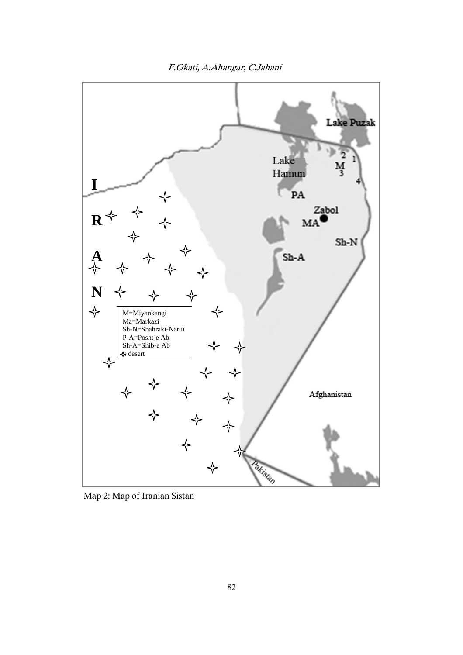F.Okati, A.Ahangar, C.Jahani



Map 2: Map of Iranian Sistan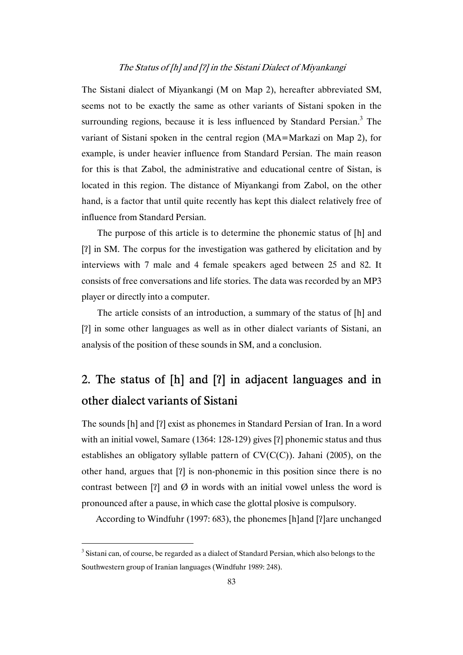The Sistani dialect of Miyankangi (M on Map 2), hereafter abbreviated SM, seems not to be exactly the same as other variants of Sistani spoken in the surrounding regions, because it is less influenced by Standard Persian. $3$  The variant of Sistani spoken in the central region (MA=Markazi on Map 2), for example, is under heavier influence from Standard Persian. The main reason for this is that Zabol, the administrative and educational centre of Sistan, is located in this region. The distance of Miyankangi from Zabol, on the other hand, is a factor that until quite recently has kept this dialect relatively free of influence from Standard Persian.

The purpose of this article is to determine the phonemic status of [h] and [ʔ] in SM. The corpus for the investigation was gathered by elicitation and by interviews with 7 male and 4 female speakers aged between 25 and 82. It consists of free conversations and life stories. The data was recorded by an MP3 player or directly into a computer.

The article consists of an introduction, a summary of the status of [h] and [ʔ] in some other languages as well as in other dialect variants of Sistani, an analysis of the position of these sounds in SM, and a conclusion.

# 2. The status of [h] and [ʔ] in adjacent languages and in other dialect variants of Sistani

The sounds [h] and [ʔ] exist as phonemes in Standard Persian of Iran. In a word with an initial vowel, Samare (1364: 128-129) gives [?] phonemic status and thus establishes an obligatory syllable pattern of  $CV(C(C))$ . Jahani (2005), on the other hand, argues that [ʔ] is non-phonemic in this position since there is no contrast between [?] and  $\emptyset$  in words with an initial vowel unless the word is pronounced after a pause, in which case the glottal plosive is compulsory.

According to Windfuhr (1997: 683), the phonemes [h]and [ʔ]are unchanged

l

<sup>&</sup>lt;sup>3</sup> Sistani can, of course, be regarded as a dialect of Standard Persian, which also belongs to the Southwestern group of Iranian languages (Windfuhr 1989: 248).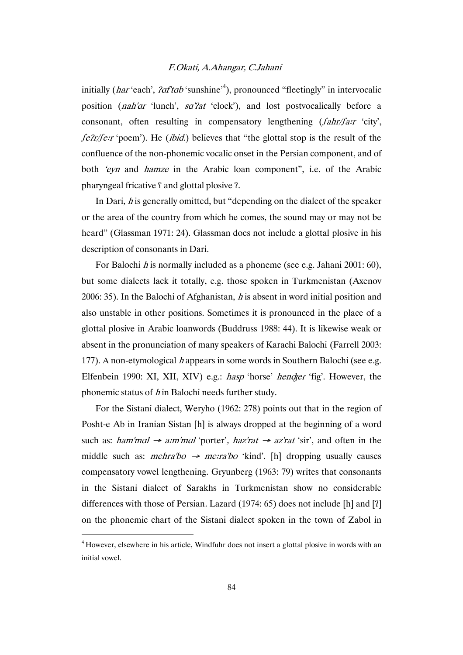#### F.Okati, A.Ahangar, C.Jahani

initially (*har* 'each', *?af'tab* 'sunshine'<sup>4</sup>), pronounced "fleetingly" in intervocalic position (*nah'ar* 'lunch', *sa''at* 'clock'), and lost postvocalically before a consonant, often resulting in compensatory lengthening  $(fahr/far$  'city', *felt/ferr* 'poem'). He *(ibid.)* believes that "the glottal stop is the result of the confluence of the non-phonemic vocalic onset in the Persian component, and of both 'eyn and hamze in the Arabic loan component", i.e. of the Arabic pharyngeal fricative ʕ and glottal plosive ʔ.

In Dari,  $h$  is generally omitted, but "depending on the dialect of the speaker or the area of the country from which he comes, the sound may or may not be heard" (Glassman 1971: 24). Glassman does not include a glottal plosive in his description of consonants in Dari.

For Balochi *h* is normally included as a phoneme (see e.g. Jahani 2001: 60), but some dialects lack it totally, e.g. those spoken in Turkmenistan (Axenov 2006: 35). In the Balochi of Afghanistan,  $h$  is absent in word initial position and also unstable in other positions. Sometimes it is pronounced in the place of a glottal plosive in Arabic loanwords (Buddruss 1988: 44). It is likewise weak or absent in the pronunciation of many speakers of Karachi Balochi (Farrell 2003: 177). A non-etymological h appears in some words in Southern Balochi (see e.g. Elfenbein 1990: XI, XII, XIV) e.g.: *hasp* 'horse' *hender* 'fig'. However, the phonemic status of  $h$  in Balochi needs further study.

For the Sistani dialect, Weryho (1962: 278) points out that in the region of Posht-e Ab in Iranian Sistan [h] is always dropped at the beginning of a word such as: ham'mal  $\rightarrow$  a:m'mal 'porter', haz'rat  $\rightarrow$  az'rat 'sir', and often in the middle such as: *mehra'bo*  $\rightarrow$  *merra'bo* 'kind'. [h] dropping usually causes compensatory vowel lengthening. Gryunberg (1963: 79) writes that consonants in the Sistani dialect of Sarakhs in Turkmenistan show no considerable differences with those of Persian. Lazard (1974: 65) does not include [h] and [ʔ] on the phonemic chart of the Sistani dialect spoken in the town of Zabol in

l

<sup>4</sup> However, elsewhere in his article, Windfuhr does not insert a glottal plosive in words with an initial vowel.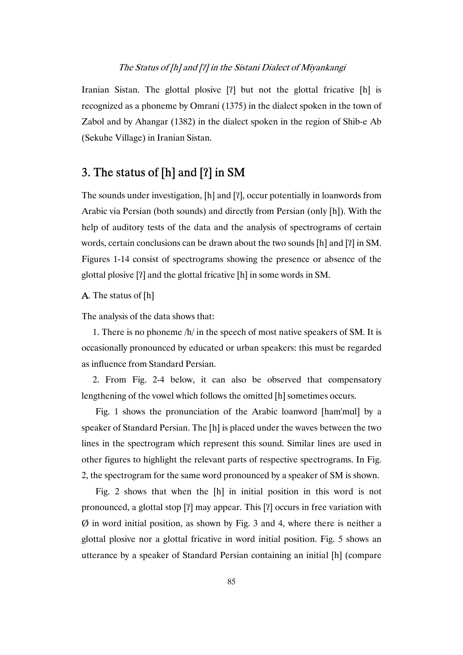Iranian Sistan. The glottal plosive [ʔ] but not the glottal fricative [h] is recognized as a phoneme by Omrani (1375) in the dialect spoken in the town of Zabol and by Ahangar (1382) in the dialect spoken in the region of Shib-e Ab (Sekuhe Village) in Iranian Sistan.

### 3. The status of [h] and [ʔ] in SM

The sounds under investigation, [h] and [ʔ], occur potentially in loanwords from Arabic via Persian (both sounds) and directly from Persian (only [h]). With the help of auditory tests of the data and the analysis of spectrograms of certain words, certain conclusions can be drawn about the two sounds [h] and [ʔ] in SM. Figures 1-14 consist of spectrograms showing the presence or absence of the glottal plosive [ʔ] and the glottal fricative [h] in some words in SM.

A. The status of [h]

The analysis of the data shows that:

1. There is no phoneme /h/ in the speech of most native speakers of SM. It is occasionally pronounced by educated or urban speakers: this must be regarded as influence from Standard Persian.

2. From Fig. 2-4 below, it can also be observed that compensatory lengthening of the vowel which follows the omitted [h] sometimes occurs.

Fig. 1 shows the pronunciation of the Arabic loanword [ham'mɑl] by a speaker of Standard Persian. The [h] is placed under the waves between the two lines in the spectrogram which represent this sound. Similar lines are used in other figures to highlight the relevant parts of respective spectrograms. In Fig. 2, the spectrogram for the same word pronounced by a speaker of SM is shown.

Fig. 2 shows that when the [h] in initial position in this word is not pronounced, a glottal stop [ʔ] may appear. This [ʔ] occurs in free variation with  $\emptyset$  in word initial position, as shown by Fig. 3 and 4, where there is neither a glottal plosive nor a glottal fricative in word initial position. Fig. 5 shows an utterance by a speaker of Standard Persian containing an initial [h] (compare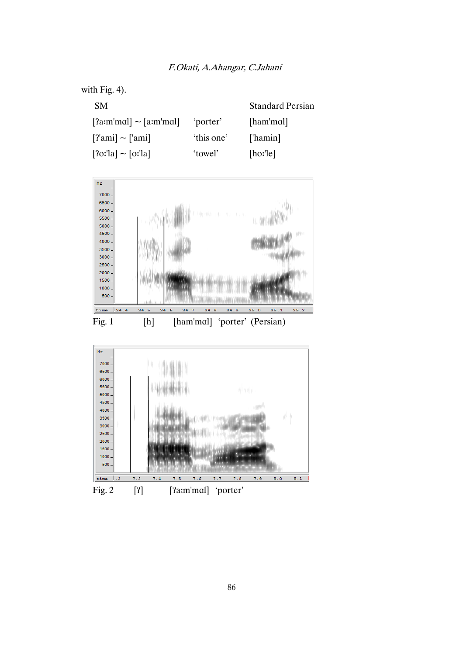



Fig. 1 [h] [ham'mɑl] 'porter' (Persian)

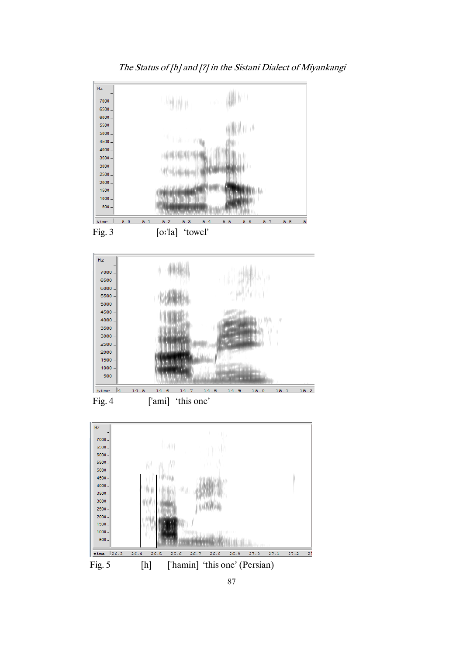

The Status of [h] and [ʔ] in the Sistani Dialect of Miyankangi

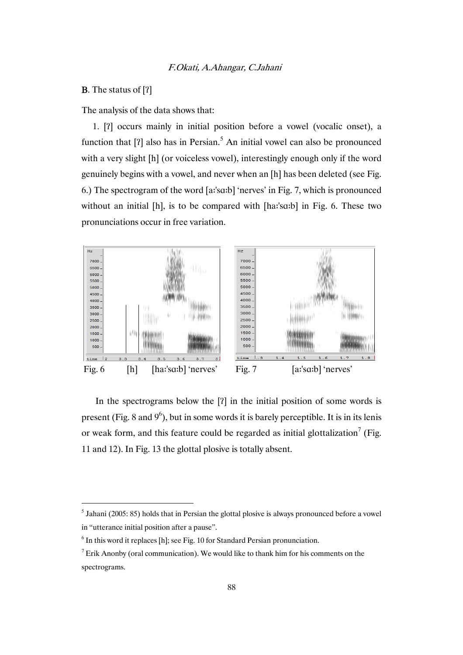### B. The status of [ʔ]

l

The analysis of the data shows that:

1. [ʔ] occurs mainly in initial position before a vowel (vocalic onset), a function that  $[?]$  also has in Persian.<sup>5</sup> An initial vowel can also be pronounced with a very slight [h] (or voiceless vowel), interestingly enough only if the word genuinely begins with a vowel, and never when an [h] has been deleted (see Fig. 6.) The spectrogram of the word [aדּ'sɑדּb] 'nerves' in Fig. 7, which is pronounced without an initial [h], is to be compared with [haː'sɑːb] in Fig. 6. These two pronunciations occur in free variation.



In the spectrograms below the [ʔ] in the initial position of some words is present (Fig. 8 and  $9^6$ ), but in some words it is barely perceptible. It is in its lenis or weak form, and this feature could be regarded as initial glottalization<sup>7</sup> (Fig. 11 and 12). In Fig. 13 the glottal plosive is totally absent.

 $<sup>5</sup>$  Jahani (2005: 85) holds that in Persian the glottal plosive is always pronounced before a vowel</sup> in "utterance initial position after a pause".

 $<sup>6</sup>$  In this word it replaces [h]; see Fig. 10 for Standard Persian pronunciation.</sup>

<sup>&</sup>lt;sup>7</sup> Erik Anonby (oral communication). We would like to thank him for his comments on the spectrograms.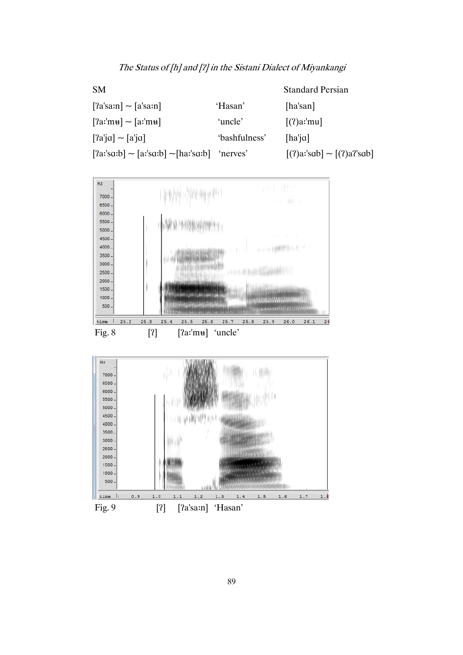| <b>SM</b>                                |               | <b>Standard Persian</b>        |
|------------------------------------------|---------------|--------------------------------|
| $[a'sarn] \sim [a'sarn]$                 | 'Hasan'       | [ha'san]                       |
| $[2a$ :'mu] ~ $[a$ :'mu]                 | 'uncle'       | $[(?)a$ :'mu]                  |
| $[a']a'] \sim [a']a$                     | 'bashfulness' | $[ha'i\alpha]$                 |
| $[2a'sarb] \sim [a'sarb] \sim [ha'sarb]$ | 'nerves'      | $[(?)a$ :'sab] ~ $[(?)a$ 'sab] |



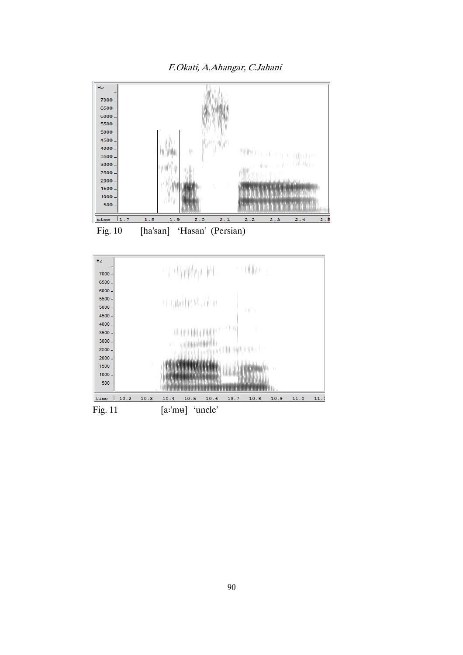



Fig. 10 [ha'san] 'Hasan' (Persian)



90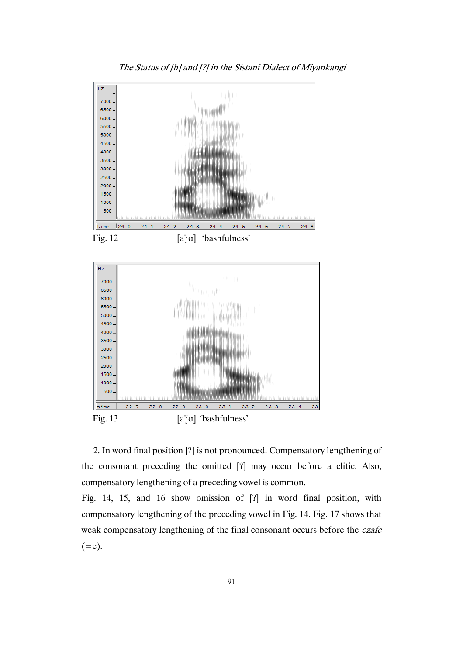

The Status of [h] and [ʔ] in the Sistani Dialect of Miyankangi

Fig. 12 [a'jɑ] 'bashfulness'



2. In word final position [ʔ] is not pronounced. Compensatory lengthening of the consonant preceding the omitted [ʔ] may occur before a clitic. Also, compensatory lengthening of a preceding vowel is common.

Fig. 14, 15, and 16 show omission of [ʔ] in word final position, with compensatory lengthening of the preceding vowel in Fig. 14. Fig. 17 shows that weak compensatory lengthening of the final consonant occurs before the ezafe  $(=e).$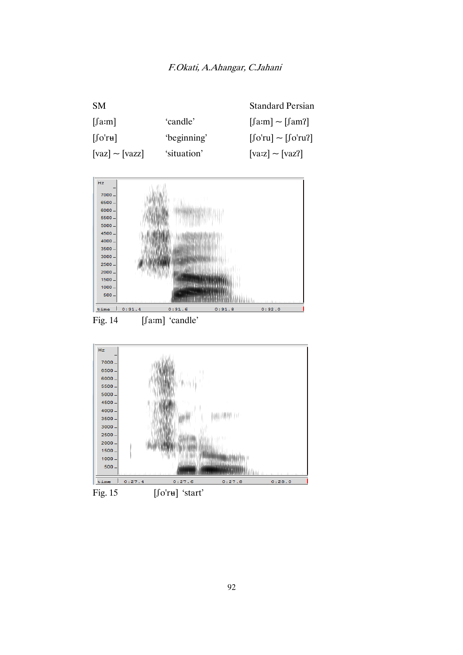| SM.                               |             | <b>Standard Persian</b>                                        |
|-----------------------------------|-------------|----------------------------------------------------------------|
| $[\text{farm}]$                   | 'candle'    | $[\text{farm}] \sim [\text{fam}]\$                             |
| $\left[\int o'r\mathbf{u}\right]$ | 'beginning' | $\lfloor \int 0' r u \rfloor \sim \lfloor \int 0' r u \rfloor$ |
| $[{\rm vaz}] \sim [{\rm vazz}]$   | 'situation' | $[{\rm varz}] \sim [{\rm varz}]$                               |



Fig. 14 [fam] 'candle'

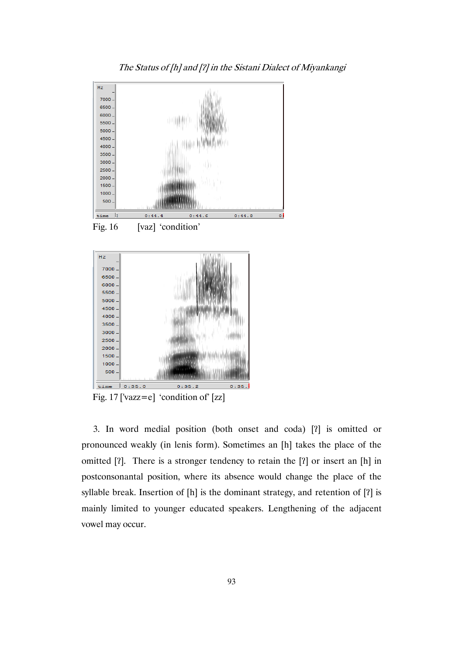

The Status of [h] and [ʔ] in the Sistani Dialect of Miyankangi

3. In word medial position (both onset and coda) [ʔ] is omitted or pronounced weakly (in lenis form). Sometimes an [h] takes the place of the omitted [ʔ]. There is a stronger tendency to retain the [ʔ] or insert an [h] in postconsonantal position, where its absence would change the place of the syllable break. Insertion of [h] is the dominant strategy, and retention of [ʔ] is mainly limited to younger educated speakers. Lengthening of the adjacent vowel may occur.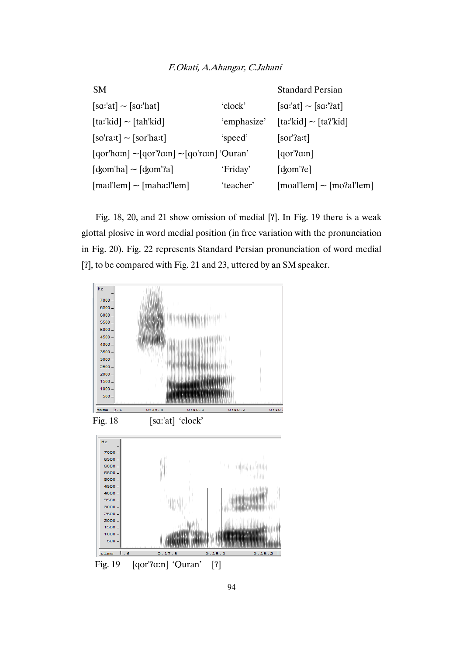| <b>SM</b>                                                                                                                                                                         |             | <b>Standard Persian</b>                                          |
|-----------------------------------------------------------------------------------------------------------------------------------------------------------------------------------|-------------|------------------------------------------------------------------|
| $[sa:at] \sim [sa:hat]$                                                                                                                                                           | 'clock'     | $[s\alpha'] \sim [s\alpha']$ at]                                 |
| $\left[ \text{ta:'}\text{kid} \right] \sim \left[ \text{tah'}\text{kid} \right]$                                                                                                  | 'emphasize' | $\lceil \text{ta':kid} \rceil$ ~ $\lceil \text{ta': kid} \rceil$ |
| $[softmax]$ $\sim$ $[sort$ ha:t]                                                                                                                                                  | 'speed'     | $[sor'$ a:t]                                                     |
| $\lceil \arccosq 1 \right $ $\sim$ $\lceil \arccosq 1 \right $ $\sim$ $\lceil \arccosq 1 \rceil$ $\lceil \arccosq 1 \rceil$ $\lceil \arccosq 1 \rceil$ $\lceil \arccosq 1 \rceil$ |             | $[qor'$ an]                                                      |
| $\lceil \text{d}\text{dom}'\text{ha} \rceil \sim \lceil \text{d}\text{dom}'\text{a} \rceil$                                                                                       | 'Friday'    | $\lceil \text{d}\text{om}' \rceil$                               |
| $[\text{ma:}!]$ = $[\text{maha:}!]$                                                                                                                                               | 'teacher'   | $[mod!lem]$ ~ $[mod!lem]$                                        |

Fig. 18, 20, and 21 show omission of medial [ʔ]. In Fig. 19 there is a weak glottal plosive in word medial position (in free variation with the pronunciation in Fig. 20). Fig. 22 represents Standard Persian pronunciation of word medial [ʔ], to be compared with Fig. 21 and 23, uttered by an SM speaker.



Fig. 19 [qor'ʔɑ:n] 'Quran' [ʔ]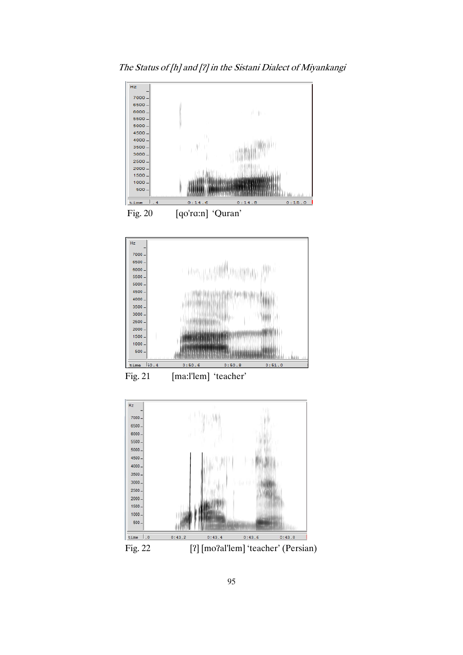



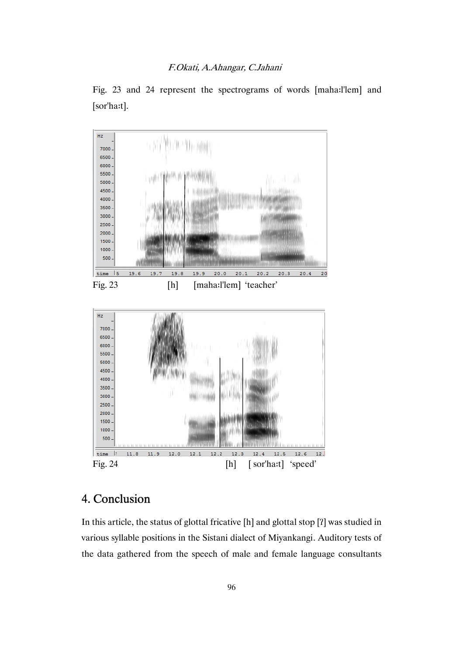

Fig. 23 and 24 represent the spectrograms of words [maha:l'lem] and [sor'haדּt].

## 4. Conclusion

In this article, the status of glottal fricative [h] and glottal stop [ʔ] was studied in various syllable positions in the Sistani dialect of Miyankangi. Auditory tests of the data gathered from the speech of male and female language consultants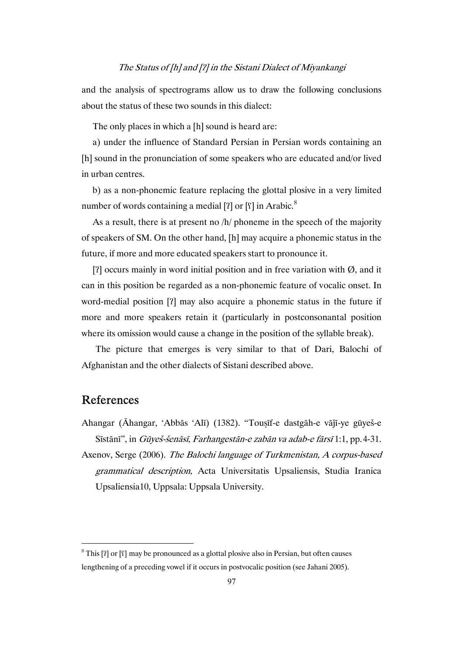and the analysis of spectrograms allow us to draw the following conclusions about the status of these two sounds in this dialect:

The only places in which a [h] sound is heard are:

a) under the influence of Standard Persian in Persian words containing an [h] sound in the pronunciation of some speakers who are educated and/or lived in urban centres.

b) as a non-phonemic feature replacing the glottal plosive in a very limited number of words containing a medial  $[2]$  or  $[5]$  in Arabic.<sup>8</sup>

As a result, there is at present no /h/ phoneme in the speech of the majority of speakers of SM. On the other hand, [h] may acquire a phonemic status in the future, if more and more educated speakers start to pronounce it.

[ $\Omega$ ] occurs mainly in word initial position and in free variation with  $\varnothing$ , and it can in this position be regarded as a non-phonemic feature of vocalic onset. In word-medial position [ʔ] may also acquire a phonemic status in the future if more and more speakers retain it (particularly in postconsonantal position where its omission would cause a change in the position of the syllable break).

The picture that emerges is very similar to that of Dari, Balochi of Afghanistan and the other dialects of Sistani described above.

### References

l

Ahangar (Āhangar, 'Abbās 'Alī) (1382). "Touṣīf-e dastgāh-e vāǰī-ye gūyeš-e Sīstānī", in Gūyeš-šenāsī, Farhangestān-e zabān va adab-e fārsī 1:1, pp.4-31.

Axenov, Serge (2006). The Balochi language of Turkmenistan, A corpus-based grammatical description, Acta Universitatis Upsaliensis, Studia Iranica Upsaliensia10, Uppsala: Uppsala University.

 $8$  This [?] or [ $\lceil$ ] may be pronounced as a glottal plosive also in Persian, but often causes lengthening of a preceding vowel if it occurs in postvocalic position (see Jahani 2005).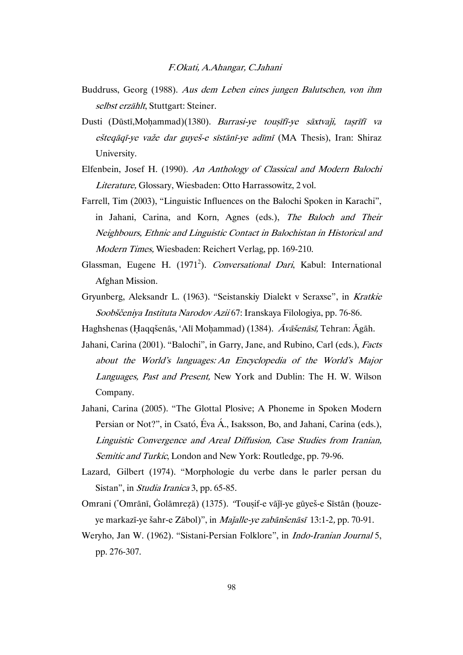- Buddruss, Georg (1988). Aus dem Leben eines jungen Balutschen, von ihm selbst erzählt, Stuttgart: Steiner.
- Dusti (Dūstī, Mohammad)(1380). Barrasi-ye tousīfī-ye sāxtvaji, tasrīfī va ešteqāqī-ye važe dar guyeš-e sīstānī-ye adīmī (MA Thesis), Iran: Shiraz University.
- Elfenbein, Josef H. (1990). An Anthology of Classical and Modern Balochi Literature, Glossary, Wiesbaden: Otto Harrassowitz, 2 vol.
- Farrell, Tim (2003), "Linguistic Influences on the Balochi Spoken in Karachi", in Jahani, Carina, and Korn, Agnes (eds.), The Baloch and Their Neighbours, Ethnic and Linguistic Contact in Balochistan in Historical and Modern Times, Wiesbaden: Reichert Verlag, pp. 169-210.
- Glassman, Eugene H. (1971<sup>2</sup>). Conversational Dari, Kabul: International Afghan Mission.
- Gryunberg, Aleksandr L. (1963). "Seistanskiy Dialekt v Seraxse", in Kratkie Soobščeniya Instituta Narodov Azii 67: Iranskaya Filologiya, pp. 76-86.

Haghshenas (Haqqšenās, 'Alī Mohammad) (1384). Āvāšenāsī, Tehran: Āgāh.

- Jahani, Carina (2001). "Balochi", in Garry, Jane, and Rubino, Carl (eds.), Facts about the World's languages: An Encyclopedia of the World's Major Languages, Past and Present, New York and Dublin: The H. W. Wilson Company.
- Jahani, Carina (2005). "The Glottal Plosive; A Phoneme in Spoken Modern Persian or Not?", in Csató, Éva Á., Isaksson, Bo, and Jahani, Carina (eds.), Linguistic Convergence and Areal Diffusion, Case Studies from Iranian, Semitic and Turkic, London and New York: Routledge, pp. 79-96.
- Lazard, Gilbert (1974). "Morphologie du verbe dans le parler persan du Sistan", in Studia Iranica 3, pp. 65-85.
- Omrani (ʽOmrānī, Ġolāmreẓā) (1375). "Touṣif-e vāǰī-ye gūyeš-e Sīstān (ḥouzeye markazī-ye šahr-e Zābol)", in Majalle-ye zabānšenāsī 13:1-2, pp. 70-91.
- Weryho, Jan W. (1962). "Sistani-Persian Folklore", in Indo-Iranian Journal 5, pp. 276-307.